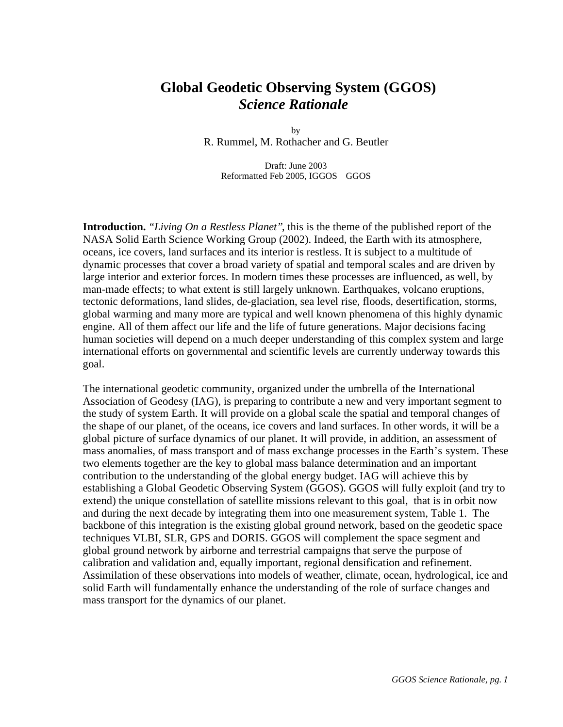# **Global Geodetic Observing System (GGOS)** *Science Rationale*

by R. Rummel, M. Rothacher and G. Beutler

Draft: June 2003 Reformatted Feb 2005, IGGOS GGOS

**Introduction.** *"Living On a Restless Planet"*, this is the theme of the published report of the NASA Solid Earth Science Working Group (2002). Indeed, the Earth with its atmosphere, oceans, ice covers, land surfaces and its interior is restless. It is subject to a multitude of dynamic processes that cover a broad variety of spatial and temporal scales and are driven by large interior and exterior forces. In modern times these processes are influenced, as well, by man-made effects; to what extent is still largely unknown. Earthquakes, volcano eruptions, tectonic deformations, land slides, de-glaciation, sea level rise, floods, desertification, storms, global warming and many more are typical and well known phenomena of this highly dynamic engine. All of them affect our life and the life of future generations. Major decisions facing human societies will depend on a much deeper understanding of this complex system and large international efforts on governmental and scientific levels are currently underway towards this goal.

The international geodetic community, organized under the umbrella of the International Association of Geodesy (IAG), is preparing to contribute a new and very important segment to the study of system Earth. It will provide on a global scale the spatial and temporal changes of the shape of our planet, of the oceans, ice covers and land surfaces. In other words, it will be a global picture of surface dynamics of our planet. It will provide, in addition, an assessment of mass anomalies, of mass transport and of mass exchange processes in the Earth's system. These two elements together are the key to global mass balance determination and an important contribution to the understanding of the global energy budget. IAG will achieve this by establishing a Global Geodetic Observing System (GGOS). GGOS will fully exploit (and try to extend) the unique constellation of satellite missions relevant to this goal, that is in orbit now and during the next decade by integrating them into one measurement system, Table 1. The backbone of this integration is the existing global ground network, based on the geodetic space techniques VLBI, SLR, GPS and DORIS. GGOS will complement the space segment and global ground network by airborne and terrestrial campaigns that serve the purpose of calibration and validation and, equally important, regional densification and refinement. Assimilation of these observations into models of weather, climate, ocean, hydrological, ice and solid Earth will fundamentally enhance the understanding of the role of surface changes and mass transport for the dynamics of our planet.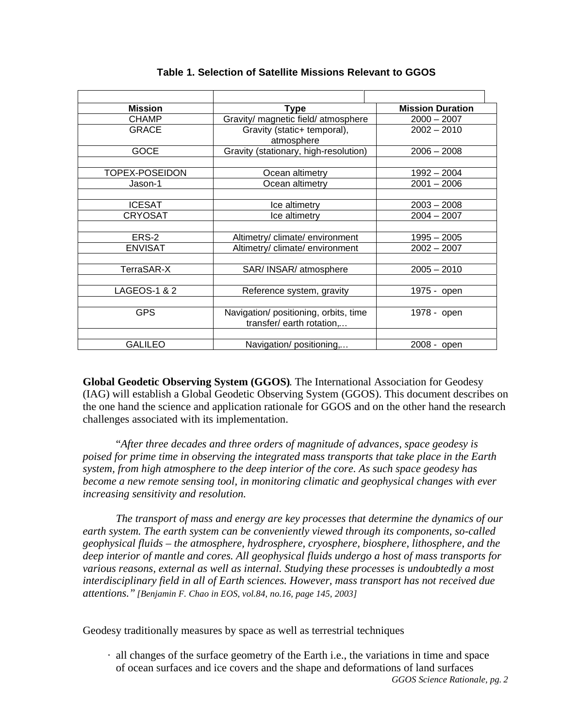| <b>Mission</b> | <b>Type</b>                                                                      | <b>Mission Duration</b> |
|----------------|----------------------------------------------------------------------------------|-------------------------|
| <b>CHAMP</b>   | Gravity/ magnetic field/ atmosphere                                              | $2000 - 2007$           |
| <b>GRACE</b>   | Gravity (static+ temporal),<br>atmosphere                                        | $2002 - 2010$           |
| <b>GOCE</b>    | Gravity (stationary, high-resolution)                                            | $2006 - 2008$           |
|                |                                                                                  |                         |
| TOPEX-POSEIDON | Ocean altimetry                                                                  | $1992 - 2004$           |
| Jason-1        | Ocean altimetry                                                                  | $2001 - 2006$           |
|                |                                                                                  |                         |
| <b>ICESAT</b>  | Ice altimetry                                                                    | $2003 - 2008$           |
| <b>CRYOSAT</b> | Ice altimetry                                                                    | $2004 - 2007$           |
|                |                                                                                  |                         |
| ERS-2          | Altimetry/ climate/ environment                                                  | $1995 - 2005$           |
| <b>ENVISAT</b> | Altimetry/ climate/ environment<br>$2002 - 2007$                                 |                         |
|                |                                                                                  |                         |
| TerraSAR-X     | SAR/ INSAR/ atmosphere                                                           | $2005 - 2010$           |
|                |                                                                                  |                         |
| LAGEOS-1 & 2   | Reference system, gravity                                                        | 1975 - open             |
|                |                                                                                  |                         |
| <b>GPS</b>     | Navigation/ positioning, orbits, time<br>1978 - open<br>transfer/earth rotation, |                         |
|                |                                                                                  |                         |
| <b>GALILEO</b> | Navigation/positioning,                                                          | 2008 - open             |

#### **Table 1. Selection of Satellite Missions Relevant to GGOS**

**Global Geodetic Observing System (GGOS)**. The International Association for Geodesy (IAG) will establish a Global Geodetic Observing System (GGOS). This document describes on the one hand the science and application rationale for GGOS and on the other hand the research challenges associated with its implementation.

"*After three decades and three orders of magnitude of advances, space geodesy is poised for prime time in observing the integrated mass transports that take place in the Earth system, from high atmosphere to the deep interior of the core. As such space geodesy has become a new remote sensing tool, in monitoring climatic and geophysical changes with ever increasing sensitivity and resolution.*

*The transport of mass and energy are key processes that determine the dynamics of our earth system. The earth system can be conveniently viewed through its components, so-called geophysical fluids – the atmosphere, hydrosphere, cryosphere, biosphere, lithosphere, and the deep interior of mantle and cores. All geophysical fluids undergo a host of mass transports for various reasons, external as well as internal. Studying these processes is undoubtedly a most interdisciplinary field in all of Earth sciences. However, mass transport has not received due attentions." [Benjamin F. Chao in EOS, vol.84, no.16, page 145, 2003]*

Geodesy traditionally measures by space as well as terrestrial techniques

· all changes of the surface geometry of the Earth i.e., the variations in time and space of ocean surfaces and ice covers and the shape and deformations of land surfaces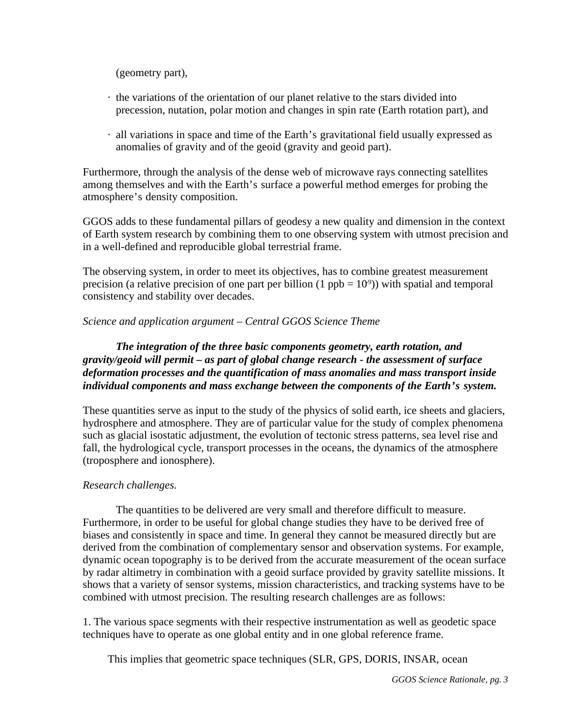(geometry part),

- · the variations of the orientation of our planet relative to the stars divided into precession, nutation, polar motion and changes in spin rate (Earth rotation part), and
- · all variations in space and time of the Earth's gravitational field usually expressed as anomalies of gravity and of the geoid (gravity and geoid part).

Furthermore, through the analysis of the dense web of microwave rays connecting satellites among themselves and with the Earth's surface a powerful method emerges for probing the atmosphere's density composition.

GGOS adds to these fundamental pillars of geodesy a new quality and dimension in the context of Earth system research by combining them to one observing system with utmost precision and in a well-defined and reproducible global terrestrial frame.

The observing system, in order to meet its objectives, has to combine greatest measurement precision (a relative precision of one part per billion  $(1 \text{ ppb} = 10^9)$ ) with spatial and temporal consistency and stability over decades.

### *Science and application argument – Central GGOS Science Theme*

# *The integration of the three basic components geometry, earth rotation, and gravity/geoid will permit – as part of global change research - the assessment of surface deformation processes and the quantification of mass anomalies and mass transport inside individual components and mass exchange between the components of the Earth's system.*

These quantities serve as input to the study of the physics of solid earth, ice sheets and glaciers, hydrosphere and atmosphere. They are of particular value for the study of complex phenomena such as glacial isostatic adjustment, the evolution of tectonic stress patterns, sea level rise and fall, the hydrological cycle, transport processes in the oceans, the dynamics of the atmosphere (troposphere and ionosphere).

### *Research challenges.*

The quantities to be delivered are very small and therefore difficult to measure. Furthermore, in order to be useful for global change studies they have to be derived free of biases and consistently in space and time. In general they cannot be measured directly but are derived from the combination of complementary sensor and observation systems. For example, dynamic ocean topography is to be derived from the accurate measurement of the ocean surface by radar altimetry in combination with a geoid surface provided by gravity satellite missions. It shows that a variety of sensor systems, mission characteristics, and tracking systems have to be combined with utmost precision. The resulting research challenges are as follows:

1. The various space segments with their respective instrumentation as well as geodetic space techniques have to operate as one global entity and in one global reference frame.

This implies that geometric space techniques (SLR, GPS, DORIS, INSAR, ocean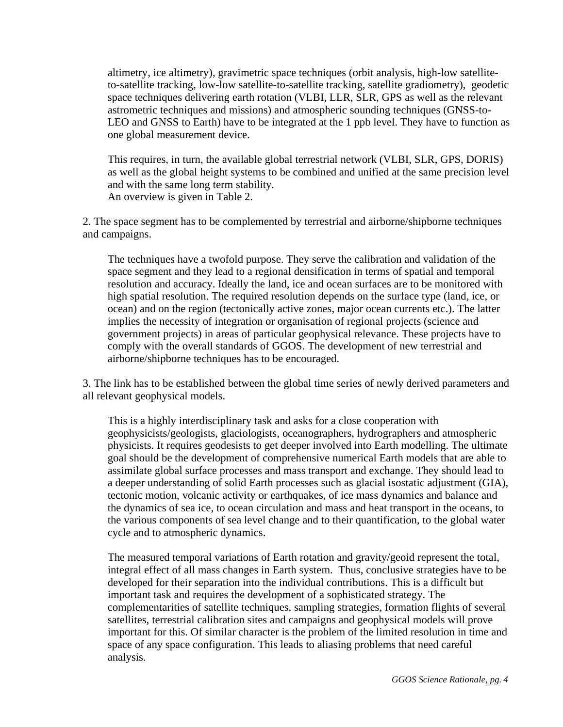altimetry, ice altimetry), gravimetric space techniques (orbit analysis, high-low satelliteto-satellite tracking, low-low satellite-to-satellite tracking, satellite gradiometry), geodetic space techniques delivering earth rotation (VLBI, LLR, SLR, GPS as well as the relevant astrometric techniques and missions) and atmospheric sounding techniques (GNSS-to-LEO and GNSS to Earth) have to be integrated at the 1 ppb level. They have to function as one global measurement device.

This requires, in turn, the available global terrestrial network (VLBI, SLR, GPS, DORIS) as well as the global height systems to be combined and unified at the same precision level and with the same long term stability. An overview is given in Table 2.

2. The space segment has to be complemented by terrestrial and airborne/shipborne techniques and campaigns.

The techniques have a twofold purpose. They serve the calibration and validation of the space segment and they lead to a regional densification in terms of spatial and temporal resolution and accuracy. Ideally the land, ice and ocean surfaces are to be monitored with high spatial resolution. The required resolution depends on the surface type (land, ice, or ocean) and on the region (tectonically active zones, major ocean currents etc.). The latter implies the necessity of integration or organisation of regional projects (science and government projects) in areas of particular geophysical relevance. These projects have to comply with the overall standards of GGOS. The development of new terrestrial and airborne/shipborne techniques has to be encouraged.

3. The link has to be established between the global time series of newly derived parameters and all relevant geophysical models.

This is a highly interdisciplinary task and asks for a close cooperation with geophysicists/geologists, glaciologists, oceanographers, hydrographers and atmospheric physicists. It requires geodesists to get deeper involved into Earth modelling. The ultimate goal should be the development of comprehensive numerical Earth models that are able to assimilate global surface processes and mass transport and exchange. They should lead to a deeper understanding of solid Earth processes such as glacial isostatic adjustment (GIA), tectonic motion, volcanic activity or earthquakes, of ice mass dynamics and balance and the dynamics of sea ice, to ocean circulation and mass and heat transport in the oceans, to the various components of sea level change and to their quantification, to the global water cycle and to atmospheric dynamics.

The measured temporal variations of Earth rotation and gravity/geoid represent the total, integral effect of all mass changes in Earth system. Thus, conclusive strategies have to be developed for their separation into the individual contributions. This is a difficult but important task and requires the development of a sophisticated strategy. The complementarities of satellite techniques, sampling strategies, formation flights of several satellites, terrestrial calibration sites and campaigns and geophysical models will prove important for this. Of similar character is the problem of the limited resolution in time and space of any space configuration. This leads to aliasing problems that need careful analysis.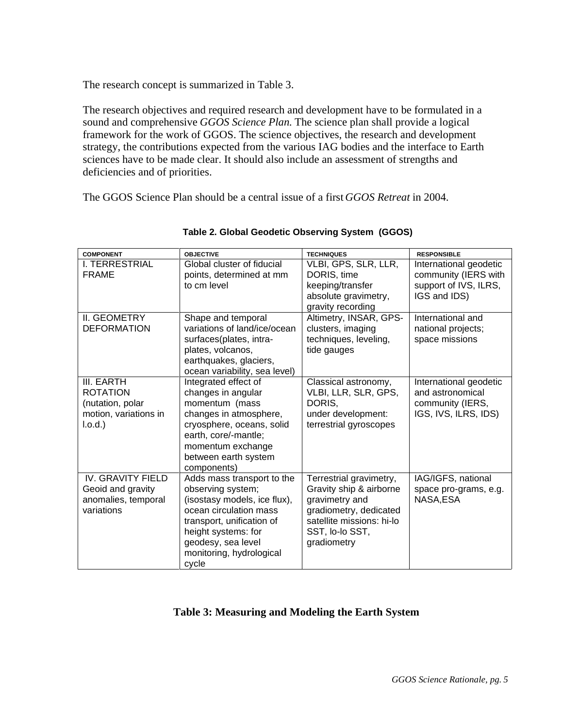The research concept is summarized in Table 3.

The research objectives and required research and development have to be formulated in a sound and comprehensive *GGOS Science Plan*. The science plan shall provide a logical framework for the work of GGOS. The science objectives, the research and development strategy, the contributions expected from the various IAG bodies and the interface to Earth sciences have to be made clear. It should also include an assessment of strengths and deficiencies and of priorities.

The GGOS Science Plan should be a central issue of a first *GGOS Retreat* in 2004.

| <b>COMPONENT</b>                                                                     | <b>OBJECTIVE</b>                                                                                                                                                                                                         | <b>TECHNIQUES</b>                                                                                                                                             | <b>RESPONSIBLE</b>                                                                      |
|--------------------------------------------------------------------------------------|--------------------------------------------------------------------------------------------------------------------------------------------------------------------------------------------------------------------------|---------------------------------------------------------------------------------------------------------------------------------------------------------------|-----------------------------------------------------------------------------------------|
| I. TERRESTRIAL<br><b>FRAME</b>                                                       | Global cluster of fiducial<br>points, determined at mm<br>to cm level                                                                                                                                                    | VLBI, GPS, SLR, LLR,<br>DORIS, time<br>keeping/transfer<br>absolute gravimetry,<br>gravity recording                                                          | International geodetic<br>community (IERS with<br>support of IVS, ILRS,<br>IGS and IDS) |
| II. GEOMETRY<br><b>DEFORMATION</b>                                                   | Shape and temporal<br>variations of land/ice/ocean<br>surfaces(plates, intra-<br>plates, volcanos,<br>earthquakes, glaciers,<br>ocean variability, sea level)                                                            | Altimetry, INSAR, GPS-<br>clusters, imaging<br>techniques, leveling,<br>tide gauges                                                                           | International and<br>national projects;<br>space missions                               |
| III. EARTH<br><b>ROTATION</b><br>(nutation, polar<br>motion, variations in<br>I.o.d. | Integrated effect of<br>changes in angular<br>momentum (mass<br>changes in atmosphere,<br>cryosphere, oceans, solid<br>earth, core/-mantle;<br>momentum exchange<br>between earth system<br>components)                  | Classical astronomy,<br>VLBI, LLR, SLR, GPS,<br>DORIS.<br>under development:<br>terrestrial gyroscopes                                                        | International geodetic<br>and astronomical<br>community (IERS,<br>IGS, IVS, ILRS, IDS)  |
| <b>IV. GRAVITY FIELD</b><br>Geoid and gravity<br>anomalies, temporal<br>variations   | Adds mass transport to the<br>observing system;<br>(isostasy models, ice flux),<br>ocean circulation mass<br>transport, unification of<br>height systems: for<br>geodesy, sea level<br>monitoring, hydrological<br>cycle | Terrestrial gravimetry,<br>Gravity ship & airborne<br>gravimetry and<br>gradiometry, dedicated<br>satellite missions: hi-lo<br>SST, Io-Io SST,<br>gradiometry | IAG/IGFS, national<br>space pro-grams, e.g.<br>NASA,ESA                                 |

#### **Table 2. Global Geodetic Observing System (GGOS)**

## **Table 3: Measuring and Modeling the Earth System**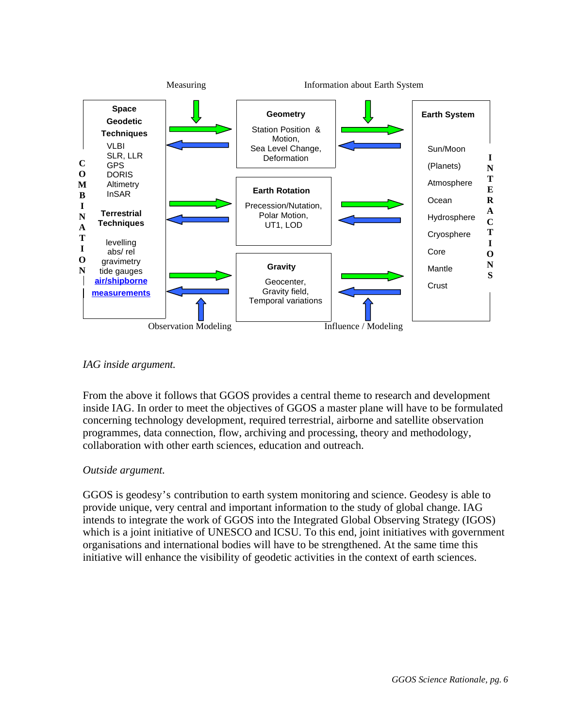

## *IAG inside argument.*

From the above it follows that GGOS provides a central theme to research and development inside IAG. In order to meet the objectives of GGOS a master plane will have to be formulated concerning technology development, required terrestrial, airborne and satellite observation programmes, data connection, flow, archiving and processing, theory and methodology, collaboration with other earth sciences, education and outreach.

### *Outside argument.*

GGOS is geodesy's contribution to earth system monitoring and science. Geodesy is able to provide unique, very central and important information to the study of global change. IAG intends to integrate the work of GGOS into the Integrated Global Observing Strategy (IGOS) which is a joint initiative of UNESCO and ICSU. To this end, joint initiatives with government organisations and international bodies will have to be strengthened. At the same time this initiative will enhance the visibility of geodetic activities in the context of earth sciences.